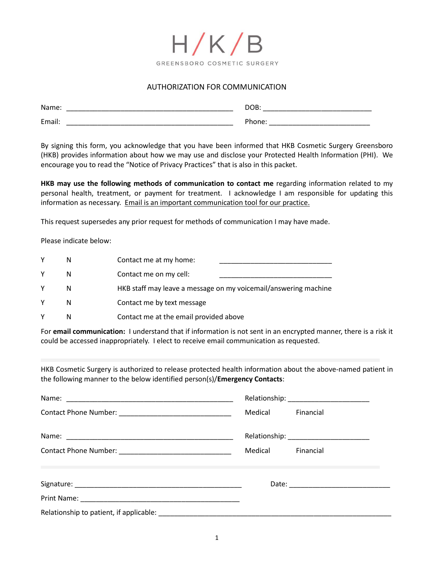

## AUTHORIZATION FOR COMMUNICATION

| Name:  | DOR         |
|--------|-------------|
| ____   | ◡           |
| Email: | Dh<br>none. |

By signing this form, you acknowledge that you have been informed that HKB Cosmetic Surgery Greensboro (HKB) provides information about how we may use and disclose your Protected Health Information (PHI). We encourage you to read the "Notice of Privacy Practices" that is also in this packet.

**HKB may use the following methods of communication to contact me** regarding information related to my personal health, treatment, or payment for treatment. I acknowledge I am responsible for updating this information as necessary. Email is an important communication tool for our practice.

This request supersedes any prior request for methods of communication I may have made.

Please indicate below:

| Y | N | Contact me at my home:                                          |
|---|---|-----------------------------------------------------------------|
| Y | N | Contact me on my cell:                                          |
| Y | N | HKB staff may leave a message on my voicemail/answering machine |
| Y | N | Contact me by text message                                      |
| Y |   | Contact me at the email provided above                          |

For **email communication:** I understand that if information is not sent in an encrypted manner, there is a risk it could be accessed inappropriately. I elect to receive email communication as requested.

HKB Cosmetic Surgery is authorized to release protected health information about the above-named patient in the following manner to the below identified person(s)/**Emergency Contacts**:

| Medical           | Financial |
|-------------------|-----------|
|                   |           |
| Medical Financial |           |
|                   |           |
|                   |           |
|                   |           |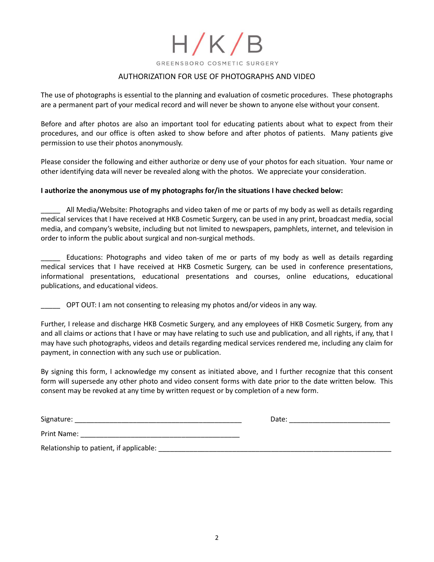

# AUTHORIZATION FOR USE OF PHOTOGRAPHS AND VIDEO

The use of photographs is essential to the planning and evaluation of cosmetic procedures. These photographs are a permanent part of your medical record and will never be shown to anyone else without your consent.

Before and after photos are also an important tool for educating patients about what to expect from their procedures, and our office is often asked to show before and after photos of patients. Many patients give permission to use their photos anonymously.

Please consider the following and either authorize or deny use of your photos for each situation. Your name or other identifying data will never be revealed along with the photos. We appreciate your consideration.

### **I authorize the anonymous use of my photographs for/in the situations I have checked below:**

\_\_\_\_\_ All Media/Website: Photographs and video taken of me or parts of my body as well as details regarding medical services that I have received at HKB Cosmetic Surgery, can be used in any print, broadcast media, social media, and company's website, including but not limited to newspapers, pamphlets, internet, and television in order to inform the public about surgical and non-surgical methods.

\_\_\_\_\_ Educations: Photographs and video taken of me or parts of my body as well as details regarding medical services that I have received at HKB Cosmetic Surgery, can be used in conference presentations, informational presentations, educational presentations and courses, online educations, educational publications, and educational videos.

\_\_\_\_\_ OPT OUT: I am not consenting to releasing my photos and/or videos in any way.

Further, I release and discharge HKB Cosmetic Surgery, and any employees of HKB Cosmetic Surgery, from any and all claims or actions that I have or may have relating to such use and publication, and all rights, if any, that I may have such photographs, videos and details regarding medical services rendered me, including any claim for payment, in connection with any such use or publication.

By signing this form, I acknowledge my consent as initiated above, and I further recognize that this consent form will supersede any other photo and video consent forms with date prior to the date written below. This consent may be revoked at any time by written request or by completion of a new form.

| Signature:                              | Date: |  |
|-----------------------------------------|-------|--|
| Print Name:                             |       |  |
| Relationship to patient, if applicable: |       |  |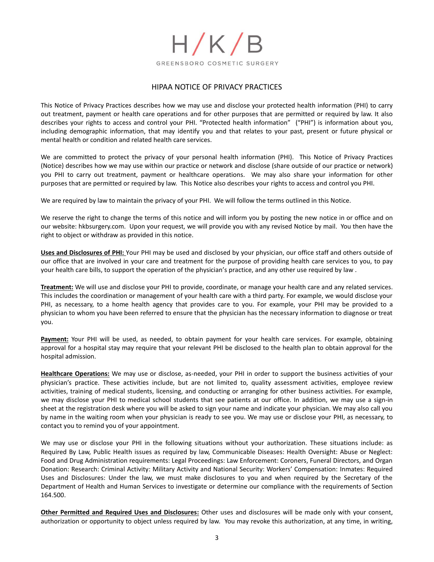

#### HIPAA NOTICE OF PRIVACY PRACTICES

This Notice of Privacy Practices describes how we may use and disclose your protected health information (PHI) to carry out treatment, payment or health care operations and for other purposes that are permitted or required by law. It also describes your rights to access and control your PHI. "Protected health information" ("PHI") is information about you, including demographic information, that may identify you and that relates to your past, present or future physical or mental health or condition and related health care services.

We are committed to protect the privacy of your personal health information (PHI). This Notice of Privacy Practices (Notice) describes how we may use within our practice or network and disclose (share outside of our practice or network) you PHI to carry out treatment, payment or healthcare operations. We may also share your information for other purposes that are permitted or required by law. This Notice also describes your rights to access and control you PHI.

We are required by law to maintain the privacy of your PHI. We will follow the terms outlined in this Notice.

We reserve the right to change the terms of this notice and will inform you by posting the new notice in or office and on our website: hkbsurgery.com. Upon your request, we will provide you with any revised Notice by mail. You then have the right to object or withdraw as provided in this notice.

**Uses and Disclosures of PHI:** Your PHI may be used and disclosed by your physician, our office staff and others outside of our office that are involved in your care and treatment for the purpose of providing health care services to you, to pay your health care bills, to support the operation of the physician's practice, and any other use required by law .

**Treatment:** We will use and disclose your PHI to provide, coordinate, or manage your health care and any related services. This includes the coordination or management of your health care with a third party. For example, we would disclose your PHI, as necessary, to a home health agency that provides care to you. For example, your PHI may be provided to a physician to whom you have been referred to ensure that the physician has the necessary information to diagnose or treat you.

**Payment:** Your PHI will be used, as needed, to obtain payment for your health care services. For example, obtaining approval for a hospital stay may require that your relevant PHI be disclosed to the health plan to obtain approval for the hospital admission.

**Healthcare Operations:** We may use or disclose, as-needed, your PHI in order to support the business activities of your physician's practice. These activities include, but are not limited to, quality assessment activities, employee review activities, training of medical students, licensing, and conducting or arranging for other business activities. For example, we may disclose your PHI to medical school students that see patients at our office. In addition, we may use a sign-in sheet at the registration desk where you will be asked to sign your name and indicate your physician. We may also call you by name in the waiting room when your physician is ready to see you. We may use or disclose your PHI, as necessary, to contact you to remind you of your appointment.

We may use or disclose your PHI in the following situations without your authorization. These situations include: as Required By Law, Public Health issues as required by law, Communicable Diseases: Health Oversight: Abuse or Neglect: Food and Drug Administration requirements: Legal Proceedings: Law Enforcement: Coroners, Funeral Directors, and Organ Donation: Research: Criminal Activity: Military Activity and National Security: Workers' Compensation: Inmates: Required Uses and Disclosures: Under the law, we must make disclosures to you and when required by the Secretary of the Department of Health and Human Services to investigate or determine our compliance with the requirements of Section 164.500.

**Other Permitted and Required Uses and Disclosures:** Other uses and disclosures will be made only with your consent, authorization or opportunity to object unless required by law. You may revoke this authorization, at any time, in writing,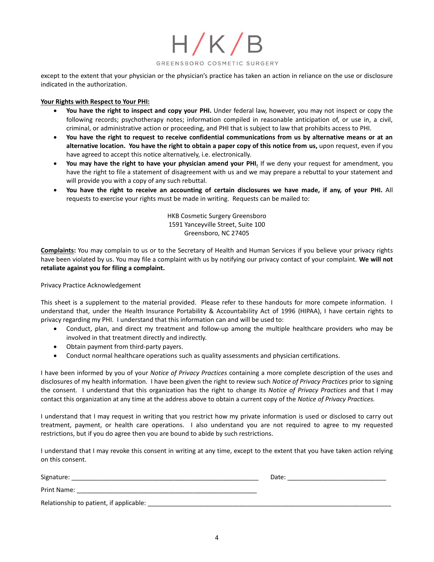

except to the extent that your physician or the physician's practice has taken an action in reliance on the use or disclosure indicated in the authorization.

#### **Your Rights with Respect to Your PHI:**

- **You have the right to inspect and copy your PHI.** Under federal law, however, you may not inspect or copy the following records; psychotherapy notes; information compiled in reasonable anticipation of, or use in, a civil, criminal, or administrative action or proceeding, and PHI that is subject to law that prohibits access to PHI.
- **You have the right to request to receive confidential communications from us by alternative means or at an alternative location. You have the right to obtain a paper copy of this notice from us,** upon request, even if you have agreed to accept this notice alternatively, i.e. electronically.
- **You may have the right to have your physician amend your PHI.** If we deny your request for amendment, you have the right to file a statement of disagreement with us and we may prepare a rebuttal to your statement and will provide you with a copy of any such rebuttal.
- **You have the right to receive an accounting of certain disclosures we have made, if any, of your PHI.** All requests to exercise your rights must be made in writing. Requests can be mailed to:

HKB Cosmetic Surgery Greensboro 1591 Yanceyville Street, Suite 100 Greensboro, NC 27405

**Complaints:** You may complain to us or to the Secretary of Health and Human Services if you believe your privacy rights have been violated by us. You may file a complaint with us by notifying our privacy contact of your complaint. **We will not retaliate against you for filing a complaint.**

Privacy Practice Acknowledgement

This sheet is a supplement to the material provided. Please refer to these handouts for more compete information. I understand that, under the Health Insurance Portability & Accountability Act of 1996 (HIPAA), I have certain rights to privacy regarding my PHI. I understand that this information can and will be used to:

- Conduct, plan, and direct my treatment and follow-up among the multiple healthcare providers who may be involved in that treatment directly and indirectly.
- Obtain payment from third-party payers.
- Conduct normal healthcare operations such as quality assessments and physician certifications.

I have been informed by you of your *Notice of Privacy Practices* containing a more complete description of the uses and disclosures of my health information. I have been given the right to review such *Notice of Privacy Practices* prior to signing the consent. I understand that this organization has the right to change its *Notice of Privacy Practices* and that I may contact this organization at any time at the address above to obtain a current copy of the *Notice of Privacy Practices.*

I understand that I may request in writing that you restrict how my private information is used or disclosed to carry out treatment, payment, or health care operations. I also understand you are not required to agree to my requested restrictions, but if you do agree then you are bound to abide by such restrictions.

I understand that I may revoke this consent in writing at any time, except to the extent that you have taken action relying on this consent.

| Signature:                              | Date: |  |  |  |
|-----------------------------------------|-------|--|--|--|
| Print Name:                             |       |  |  |  |
| Relationship to patient, if applicable: |       |  |  |  |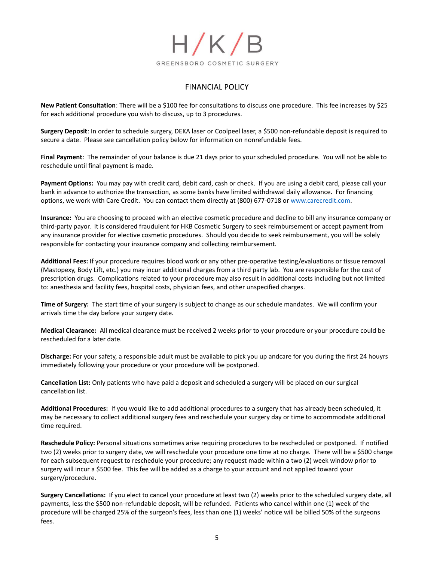

### FINANCIAL POLICY

**New Patient Consultation**: There will be a \$100 fee for consultations to discuss one procedure. This fee increases by \$25 for each additional procedure you wish to discuss, up to 3 procedures.

**Surgery Deposit**: In order to schedule surgery, DEKA laser or Coolpeel laser, a \$500 non-refundable deposit is required to secure a date. Please see cancellation policy below for information on nonrefundable fees.

**Final Payment**: The remainder of your balance is due 21 days prior to your scheduled procedure. You will not be able to reschedule until final payment is made.

**Payment Options:** You may pay with credit card, debit card, cash or check. If you are using a debit card, please call your bank in advance to authorize the transaction, as some banks have limited withdrawal daily allowance. For financing options, we work with Care Credit. You can contact them directly at (800) 677-0718 or [www.carecredit.com.](http://www.carecredit.com/)

**Insurance:** You are choosing to proceed with an elective cosmetic procedure and decline to bill any insurance company or third-party payor. It is considered fraudulent for HKB Cosmetic Surgery to seek reimbursement or accept payment from any insurance provider for elective cosmetic procedures. Should you decide to seek reimbursement, you will be solely responsible for contacting your insurance company and collecting reimbursement.

**Additional Fees:** If your procedure requires blood work or any other pre-operative testing/evaluations or tissue removal (Mastopexy, Body Lift, etc.) you may incur additional charges from a third party lab. You are responsible for the cost of prescription drugs. Complications related to your procedure may also result in additional costs including but not limited to: anesthesia and facility fees, hospital costs, physician fees, and other unspecified charges.

**Time of Surgery:** The start time of your surgery is subject to change as our schedule mandates. We will confirm your arrivals time the day before your surgery date.

**Medical Clearance:** All medical clearance must be received 2 weeks prior to your procedure or your procedure could be rescheduled for a later date.

**Discharge:** For your safety, a responsible adult must be available to pick you up andcare for you during the first 24 houyrs immediately following your procedure or your procedure will be postponed.

**Cancellation List:** Only patients who have paid a deposit and scheduled a surgery will be placed on our surgical cancellation list.

**Additional Procedures:** If you would like to add additional procedures to a surgery that has already been scheduled, it may be necessary to collect additional surgery fees and reschedule your surgery day or time to accommodate additional time required.

**Reschedule Policy:** Personal situations sometimes arise requiring procedures to be rescheduled or postponed. If notified two (2) weeks prior to surgery date, we will reschedule your procedure one time at no charge. There will be a \$500 charge for each subsequent request to reschedule your procedure; any request made within a two (2) week window prior to surgery will incur a \$500 fee. This fee will be added as a charge to your account and not applied toward your surgery/procedure.

**Surgery Cancellations:** If you elect to cancel your procedure at least two (2) weeks prior to the scheduled surgery date, all payments, less the \$500 non-refundable deposit, will be refunded. Patients who cancel within one (1) week of the procedure will be charged 25% of the surgeon's fees, less than one (1) weeks' notice will be billed 50% of the surgeons fees.